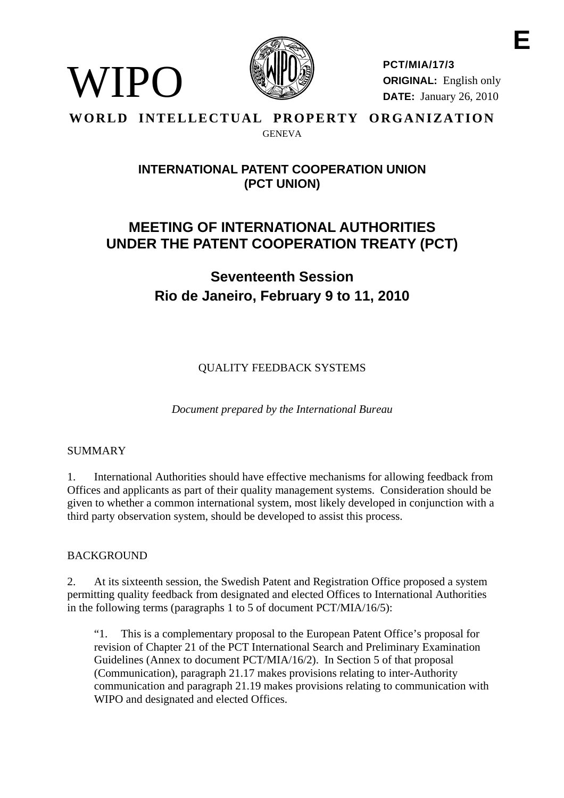

**PCT/MIA/17/3 ORIGINAL:** English only **DATE:** January 26, 2010

### **WORLD INTELLECTUAL PROPERTY ORGANIZATION GENEVA**

## **INTERNATIONAL PATENT COOPERATION UNION (PCT UNION)**

# **MEETING OF INTERNATIONAL AUTHORITIES UNDER THE PATENT COOPERATION TREATY (PCT)**

# **Seventeenth Session Rio de Janeiro, February 9 to 11, 2010**

QUALITY FEEDBACK SYSTEMS

*Document prepared by the International Bureau* 

## SUMMARY

WIPO

1. International Authorities should have effective mechanisms for allowing feedback from Offices and applicants as part of their quality management systems. Consideration should be given to whether a common international system, most likely developed in conjunction with a third party observation system, should be developed to assist this process.

## BACKGROUND

2. At its sixteenth session, the Swedish Patent and Registration Office proposed a system permitting quality feedback from designated and elected Offices to International Authorities in the following terms (paragraphs 1 to 5 of document PCT/MIA/16/5):

"1. This is a complementary proposal to the European Patent Office's proposal for revision of Chapter 21 of the PCT International Search and Preliminary Examination Guidelines (Annex to document PCT/MIA/16/2). In Section 5 of that proposal (Communication), paragraph 21.17 makes provisions relating to inter-Authority communication and paragraph 21.19 makes provisions relating to communication with WIPO and designated and elected Offices.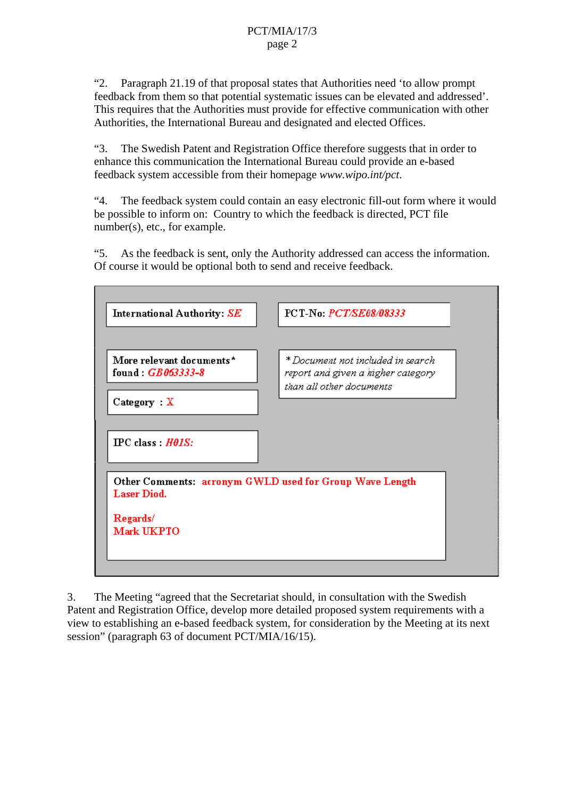"2. Paragraph 21.19 of that proposal states that Authorities need 'to allow prompt feedback from them so that potential systematic issues can be elevated and addressed'. This requires that the Authorities must provide for effective communication with other Authorities, the International Bureau and designated and elected Offices.

"3. The Swedish Patent and Registration Office therefore suggests that in order to enhance this communication the International Bureau could provide an e-based feedback system accessible from their homepage *www.wipo.int/pct*.

"4. The feedback system could contain an easy electronic fill-out form where it would be possible to inform on: Country to which the feedback is directed, PCT file number(s), etc., for example.

"5. As the feedback is sent, only the Authority addressed can access the information. Of course it would be optional both to send and receive feedback.



3. The Meeting "agreed that the Secretariat should, in consultation with the Swedish Patent and Registration Office, develop more detailed proposed system requirements with a view to establishing an e-based feedback system, for consideration by the Meeting at its next session" (paragraph 63 of document PCT/MIA/16/15).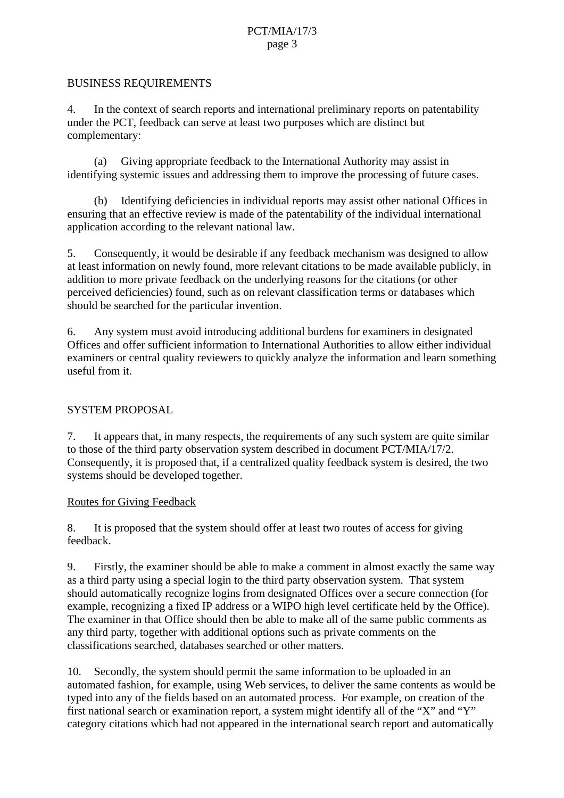## PCT/MIA/17/3 page 3

#### BUSINESS REQUIREMENTS

4. In the context of search reports and international preliminary reports on patentability under the PCT, feedback can serve at least two purposes which are distinct but complementary:

 (a) Giving appropriate feedback to the International Authority may assist in identifying systemic issues and addressing them to improve the processing of future cases.

 (b) Identifying deficiencies in individual reports may assist other national Offices in ensuring that an effective review is made of the patentability of the individual international application according to the relevant national law.

5. Consequently, it would be desirable if any feedback mechanism was designed to allow at least information on newly found, more relevant citations to be made available publicly, in addition to more private feedback on the underlying reasons for the citations (or other perceived deficiencies) found, such as on relevant classification terms or databases which should be searched for the particular invention.

6. Any system must avoid introducing additional burdens for examiners in designated Offices and offer sufficient information to International Authorities to allow either individual examiners or central quality reviewers to quickly analyze the information and learn something useful from it.

#### SYSTEM PROPOSAL

7. It appears that, in many respects, the requirements of any such system are quite similar to those of the third party observation system described in document PCT/MIA/17/2. Consequently, it is proposed that, if a centralized quality feedback system is desired, the two systems should be developed together.

#### Routes for Giving Feedback

8. It is proposed that the system should offer at least two routes of access for giving feedback.

9. Firstly, the examiner should be able to make a comment in almost exactly the same way as a third party using a special login to the third party observation system. That system should automatically recognize logins from designated Offices over a secure connection (for example, recognizing a fixed IP address or a WIPO high level certificate held by the Office). The examiner in that Office should then be able to make all of the same public comments as any third party, together with additional options such as private comments on the classifications searched, databases searched or other matters.

10. Secondly, the system should permit the same information to be uploaded in an automated fashion, for example, using Web services, to deliver the same contents as would be typed into any of the fields based on an automated process. For example, on creation of the first national search or examination report, a system might identify all of the "X" and "Y" category citations which had not appeared in the international search report and automatically